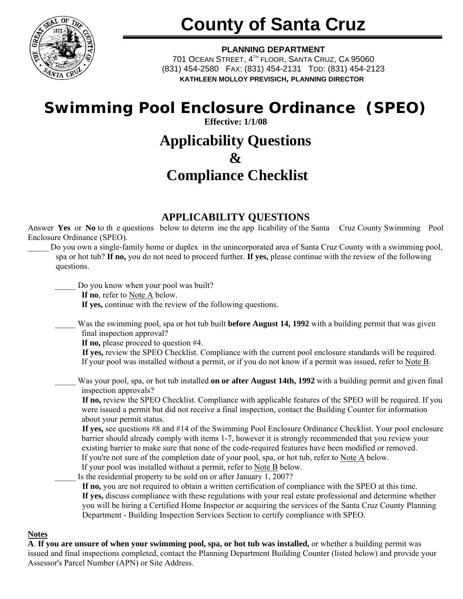

# **County of Santa Cruz**

#### **PLANNING DEPARTMENT**

701 OCEAN STREET, 4TH FLOOR, SANTA CRUZ, CA 95060 (831) 454-2580 FAX: (831) 454-2131 TDD: (831) 454-2123 **KATHLEEN MOLLOY PREVISICH, PLANNING DIRECTOR**

# **Swimming Pool Enclosure Ordinance (SPEO) Effective: 1/1/08**

# **Applicability Questions & Compliance Checklist**

## **APPLICABILITY QUESTIONS**

Answer **Yes** or **No** to th e questions below to determ ine the app licability of the Santa Cruz County Swimming Pool Enclosure Ordinance (SPEO).

\_\_\_\_\_ Do you own a single-family home or duplex in the unincorporated area of Santa Cruz County with a swimming pool, spa or hot tub? **If no,** you do not need to proceed further. **If yes,** please continue with the review of the following questions.

Do you know when your pool was built?

**If no**, refer to Note A below.

**If yes,** continue with the review of the following questions.

Was the swimming pool, spa or hot tub built **before August 14, 1992** with a building permit that was given final inspection approval?

**If no,** please proceed to question #4.

**If yes,** review the SPEO Checklist. Compliance with the current pool enclosure standards will be required. If your pool was installed without a permit, or if you do not know if a permit was issued, refer to Note B.

Was your pool, spa, or hot tub installed **on or after August 14th, 1992** with a building permit and given final inspection approvals?

**If no,** review the SPEO Checklist. Compliance with applicable features of the SPEO will be required. If you were issued a permit but did not receive a final inspection, contact the Building Counter for information about your permit status.

**If yes,** see questions #8 and #14 of the Swimming Pool Enclosure Ordinance Checklist. Your pool enclosure barrier should already comply with items 1-7, however it is strongly recommended that you review your existing barrier to make sure that none of the code-required features have been modified or removed. If you're not sure of the completion date of your pool, spa, or hot tub, refer to Note  $\overline{A}$  below.

If your pool was installed without a permit, refer to Note B below.

Is the residential property to be sold on or after January 1, 2007?

**If no,** you are not required to obtain a written certification of compliance with the SPEO at this time. **If yes,** discuss compliance with these regulations with your real estate professional and determine whether you will be hiring a Certified Home Inspector or acquiring the services of the Santa Cruz County Planning Department - Building Inspection Services Section to certify compliance with SPEO.

#### **Notes**

**A**. **If you are unsure of when your swimming pool, spa, or hot tub was installed,** or whether a building permit was issued and final inspections completed, contact the Planning Department Building Counter (listed below) and provide your Assessor's Parcel Number (APN) or Site Address.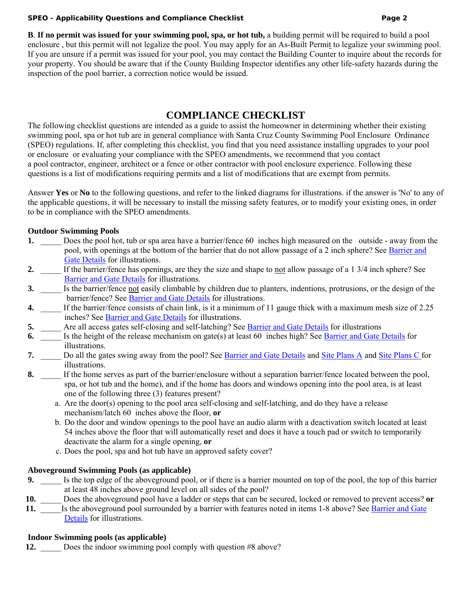#### **SPEO - Applicability Questions and Compliance Checklist Page 2**

**B**. **If no permit was issued for your swimming pool, spa, or hot tub,** a building permit will be required to build a pool enclosure , but this permit will not legalize the pool. You may apply for an As-Built Permit to legalize your swimming pool. If you are unsure if a permit was issued for your pool, you may contact the Building Counter to inquire about the records for your property. You should be aware that if the County Building Inspector identifies any other life-safety hazards during the inspection of the pool barrier, a correction notice would be issued.

### **COMPLIANCE CHECKLIST**

The following checklist questions are intended as a guide to assist the homeowner in determining whether their existing swimming pool, spa or hot tub are in general compliance with Santa Cruz County Swimming Pool Enclosure Ordinance (SPEO) regulations. If, after completing this checklist, you find that you need assistance installing upgrades to your pool or enclosure or evaluating your compliance with the SPEO amendments, we recommend that you contact a pool contractor, engineer, architect or a fence or other contractor with pool enclosure experience. Following these questions is a list of modifications requiring permits and a list of modifications that are exempt from permits.

Answer **Yes** or **No** to the following questions, and refer to the linked diagrams for illustrations. if the answer is 'No' to any of the applicable questions, it will be necessary to install the missing safety features, or to modify your existing ones, in order to be in compliance with the SPEO amendments.

#### **Outdoor Swimming Pools**

- **1.** Does the pool hot, tub or spa area have a barrier/fence 60 inches high measured on the outside away from the pool, with openings at the bottom of the barrier that do not allow passage of a 2 inch sphere? See [Barrier and](http://www.sccoplanning.com/Portals/2/County/Planning/bldg/barriergatedetail.pdf?ver=2019-03-25-144113-357)  [Gate Details](http://www.sccoplanning.com/LinkClick.aspx?fileticket=Lvrft-eh1ZM%3d&tabid=1276) for illustrations.
- **2.** If the barrier/fence has openings, are they the size and shape to not allow passage of a 1 3/4 inch sphere? See [Barrier and Gate Details](http://www.sccoplanning.com/Portals/2/County/Planning/bldg/barriergatedetail.pdf?ver=2019-03-25-144113-357) for illustrations.
- **3.** Is the barrier/fence not easily climbable by children due to planters, indentions, protrusions, or the design of the barrier/fence? See **Barrier and Gate Details** for illustrations.
- **4.** If the barrier/fence consists of chain link, is it a minimum of 11 gauge thick with a maximum mesh size of 2.25 inches? See [Barrier and Gate Details](http://www.sccoplanning.com/Portals/2/County/Planning/bldg/barriergatedetail.pdf?ver=2019-03-25-144113-357) for illustrations.
- **5.** \_\_\_\_\_ Are all access gates self-closing and self-latching? See [Barrier and Gate Details](http://www.sccoplanning.com/Portals/2/County/Planning/bldg/barriergatedetail.pdf?ver=2019-03-25-144113-357) for illustrations
- **6.** Is the height of the release mechanism on gate(s) at least 60 inches high? See [Barrier and Gate Details](http://www.sccoplanning.com/Portals/2/County/Planning/bldg/barriergatedetail.pdf?ver=2019-03-25-144113-357) for illustrations.
- **7.** \_\_\_\_\_ Do all the gates swing away from the pool? See [Barrier and Gate Details](http://www.sccoplanning.com/Portals/2/County/Planning/bldg/barriergatedetail.pdf?ver=2019-03-25-144113-357) and [Site Plans A](http://www.sccoplanning.com/LinkClick.aspx?fileticket=NQIU0Q5Vq9Q%3d&tabid=1276) and [Site Plans C f](http://www.sccoplanning.com/LinkClick.aspx?fileticket=pL_pRPz7X9k%3d&tabid=1276)or illustrations.
- **8.** If the home serves as part of the barrier/enclosure without a separation barrier/fence located between the pool, spa, or hot tub and the home), and if the home has doors and windows opening into the pool area, is at least one of the following three (3) features present?
	- a. Are the door(s) opening to the pool area self-closing and self-latching, and do they have a release mechanism/latch 60 inches above the floor, **or**
	- b. Do the door and window openings to the pool have an audio alarm with a deactivation switch located at least 54 inches above the floor that will automatically reset and does it have a touch pad or switch to temporarily deactivate the alarm for a single opening, **or**
	- c. Does the pool, spa and hot tub have an approved safety cover?

#### **Aboveground Swimming Pools (as applicable)**

- **9.** Is the top edge of the aboveground pool, or if there is a barrier mounted on top of the pool, the top of this barrier at least 48 inches above ground level on all sides of the pool?
- **10.** \_\_\_\_\_ Does the aboveground pool have a ladder or steps that can be secured, locked or removed to prevent access? **or**
- **11.** Is the aboveground pool surrounded by a barrier with features noted in items 1-8 above? See Barrier and Gate [Details](http://www.sccoplanning.com/pdf/bldg/barriergatedetail.pdf) for illustrations.

#### **Indoor Swimming pools (as applicable)**

**12.** Does the indoor swimming pool comply with question #8 above?